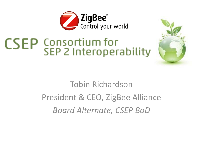

# **CSEP** Consortium for<br>SEP 2 Interoperability



#### Tobin Richardson President & CEO, ZigBee Alliance *Board Alternate, CSEP BoD*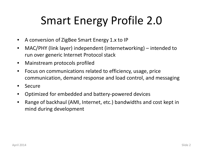# Smart Energy Profile 2.0

- A conversion of ZigBee Smart Energy 1.x to IP
- MAC/PHY (link layer) independent (internetworking) intended to run over generic Internet Protocol stack
- Mainstream protocols profiled
- Focus on communications related to efficiency, usage, price communication, demand response and load control, and messaging
- Secure
- Optimized for embedded and battery-powered devices
- Range of backhaul (AMI, Internet, etc.) bandwidths and cost kept in mind during development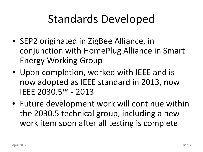## Standards Developed

- SEP2 originated in ZigBee Alliance, in conjunction with HomePlug Alliance in Smart Energy Working Group
- Upon completion, worked with IEEE and is now adopted as IEEE standard in 2013, now IEEE 2030.5™ - 2013
- Future development work will continue within the 2030.5 technical group, including a new work item soon after all testing is complete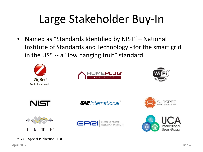# Large Stakeholder Buy-In

• Named as "Standards Identified by NIST" – National Institute of Standards and Technology - for the smart grid in the US\* -- a "low hanging fruit" standard

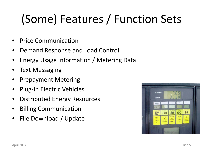# (Some) Features / Function Sets

- Price Communication
- Demand Response and Load Control
- Energy Usage Information / Metering Data
- Text Messaging
- Prepayment Metering
- Plug-In Electric Vehicles
- Distributed Energy Resources
- Billing Communication
- File Download / Update

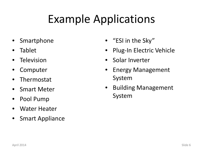# Example Applications

- **Smartphone**
- Tablet
- **Television**
- **Computer**
- Thermostat
- Smart Meter
- Pool Pump
- Water Heater
- Smart Appliance
- "ESI in the Sky"
- Plug-In Electric Vehicle
- Solar Inverter
- Energy Management System
- Building Management System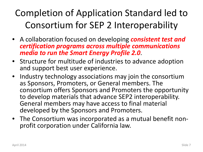#### Completion of Application Standard led to Consortium for SEP 2 Interoperability

- A collaboration focused on developing *consistent test and certification programs across multiple communications media to run the Smart Energy Profile 2.0*.
- Structure for multitude of industries to advance adoption and support best user experience.
- Industry technology associations may join the consortium as Sponsors, Promoters, or General members. The consortium offers Sponsors and Promoters the opportunity to develop materials that advance SEP2 interoperability. General members may have access to final material developed by the Sponsors and Promoters.
- The Consortium was incorporated as a mutual benefit non- profit corporation under California law.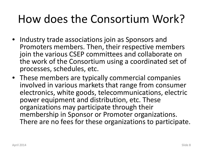## How does the Consortium Work?

- Industry trade associations join as Sponsors and Promoters members. Then, their respective members join the various CSEP committees and collaborate on the work of the Consortium using a coordinated set of processes, schedules, etc.
- These members are typically commercial companies involved in various markets that range from consumer electronics, white goods, telecommunications, electric power equipment and distribution, etc. These organizations may participate through their membership in Sponsor or Promoter organizations. There are no fees for these organizations to participate.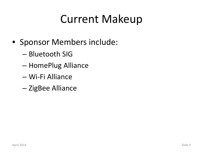## Current Makeup

- Sponsor Members include:
	- Bluetooth SIG
	- HomePlug Alliance
	- Wi-Fi Alliance
	- ZigBee Alliance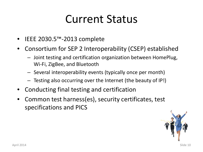## Current Status

- IEEE 2030.5™-2013 complete
- Consortium for SEP 2 Interoperability (CSEP) established
	- Joint testing and certification organization between HomePlug, Wi-Fi, ZigBee, and Bluetooth
	- Several interoperability events (typically once per month)
	- Testing also occurring over the Internet (the beauty of IP!)
- Conducting final testing and certification
- Common test harness(es), security certificates, test specifications and PICS

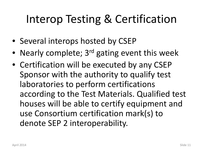## Interop Testing & Certification

- Several interops hosted by CSEP
- Nearly complete; 3<sup>rd</sup> gating event this week
- Certification will be executed by any CSEP Sponsor with the authority to qualify test laboratories to perform certifications according to the Test Materials. Qualified test houses will be able to certify equipment and use Consortium certification mark(s) to denote SEP 2 interoperability.